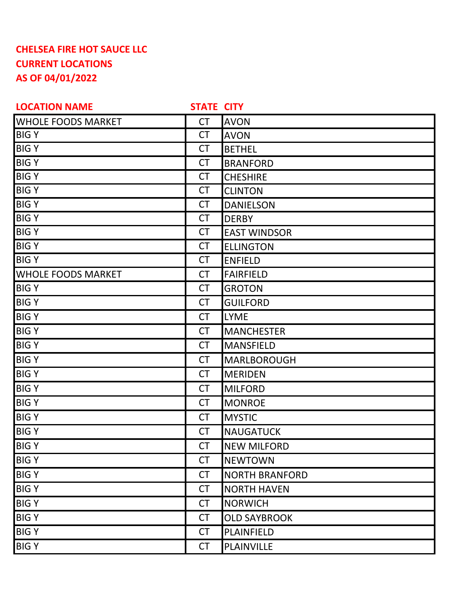## **CHELSEA FIRE HOT SAUCE LLC CURRENT LOCATIONS AS OF 04/01/2022**

| <b>LOCATION NAME</b>      | <b>STATE CITY</b> |                       |
|---------------------------|-------------------|-----------------------|
| <b>WHOLE FOODS MARKET</b> | <b>CT</b>         | <b>AVON</b>           |
| <b>BIGY</b>               | <b>CT</b>         | <b>AVON</b>           |
| <b>BIGY</b>               | <b>CT</b>         | <b>BETHEL</b>         |
| <b>BIGY</b>               | <b>CT</b>         | <b>BRANFORD</b>       |
| <b>BIGY</b>               | <b>CT</b>         | <b>CHESHIRE</b>       |
| <b>BIGY</b>               | <b>CT</b>         | <b>CLINTON</b>        |
| <b>BIGY</b>               | <b>CT</b>         | <b>DANIELSON</b>      |
| <b>BIGY</b>               | <b>CT</b>         | <b>DERBY</b>          |
| <b>BIGY</b>               | <b>CT</b>         | <b>EAST WINDSOR</b>   |
| <b>BIGY</b>               | <b>CT</b>         | <b>ELLINGTON</b>      |
| <b>BIGY</b>               | <b>CT</b>         | <b>ENFIELD</b>        |
| <b>WHOLE FOODS MARKET</b> | <b>CT</b>         | <b>FAIRFIELD</b>      |
| <b>BIGY</b>               | <b>CT</b>         | <b>GROTON</b>         |
| <b>BIGY</b>               | <b>CT</b>         | <b>GUILFORD</b>       |
| <b>BIGY</b>               | <b>CT</b>         | <b>LYME</b>           |
| <b>BIGY</b>               | <b>CT</b>         | <b>MANCHESTER</b>     |
| <b>BIGY</b>               | <b>CT</b>         | <b>MANSFIELD</b>      |
| <b>BIGY</b>               | <b>CT</b>         | MARLBOROUGH           |
| <b>BIGY</b>               | <b>CT</b>         | <b>MERIDEN</b>        |
| <b>BIGY</b>               | <b>CT</b>         | <b>MILFORD</b>        |
| <b>BIGY</b>               | <b>CT</b>         | <b>MONROE</b>         |
| <b>BIGY</b>               | <b>CT</b>         | <b>MYSTIC</b>         |
| <b>BIGY</b>               | <b>CT</b>         | <b>NAUGATUCK</b>      |
| <b>BIGY</b>               | <b>CT</b>         | <b>NEW MILFORD</b>    |
| <b>BIGY</b>               | <b>CT</b>         | <b>NEWTOWN</b>        |
| <b>BIGY</b>               | <b>CT</b>         | <b>NORTH BRANFORD</b> |
| <b>BIGY</b>               | <b>CT</b>         | <b>NORTH HAVEN</b>    |
| <b>BIGY</b>               | <b>CT</b>         | <b>NORWICH</b>        |
| <b>BIGY</b>               | <b>CT</b>         | <b>OLD SAYBROOK</b>   |
| <b>BIGY</b>               | <b>CT</b>         | PLAINFIELD            |
| <b>BIGY</b>               | <b>CT</b>         | PLAINVILLE            |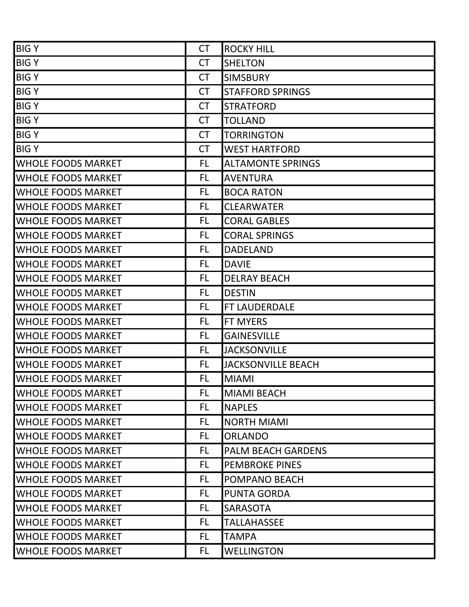| <b>BIGY</b>               | <b>CT</b> | <b>ROCKY HILL</b>         |
|---------------------------|-----------|---------------------------|
| <b>BIGY</b>               | <b>CT</b> | <b>SHELTON</b>            |
| <b>BIGY</b>               | <b>CT</b> | <b>SIMSBURY</b>           |
| <b>BIGY</b>               | <b>CT</b> | <b>STAFFORD SPRINGS</b>   |
| <b>BIGY</b>               | <b>CT</b> | <b>STRATFORD</b>          |
| <b>BIGY</b>               | <b>CT</b> | <b>TOLLAND</b>            |
| <b>BIGY</b>               | <b>CT</b> | <b>TORRINGTON</b>         |
| <b>BIGY</b>               | <b>CT</b> | <b>WEST HARTFORD</b>      |
| <b>WHOLE FOODS MARKET</b> | <b>FL</b> | <b>ALTAMONTE SPRINGS</b>  |
| <b>WHOLE FOODS MARKET</b> | <b>FL</b> | <b>AVENTURA</b>           |
| <b>WHOLE FOODS MARKET</b> | <b>FL</b> | <b>BOCA RATON</b>         |
| <b>WHOLE FOODS MARKET</b> | FL.       | <b>CLEARWATER</b>         |
| <b>WHOLE FOODS MARKET</b> | FL.       | <b>CORAL GABLES</b>       |
| <b>WHOLE FOODS MARKET</b> | FL.       | <b>CORAL SPRINGS</b>      |
| <b>WHOLE FOODS MARKET</b> | <b>FL</b> | <b>DADELAND</b>           |
| <b>WHOLE FOODS MARKET</b> | FL.       | <b>DAVIE</b>              |
| <b>WHOLE FOODS MARKET</b> | <b>FL</b> | <b>DELRAY BEACH</b>       |
| <b>WHOLE FOODS MARKET</b> | <b>FL</b> | <b>DESTIN</b>             |
| <b>WHOLE FOODS MARKET</b> | <b>FL</b> | FT LAUDERDALE             |
| <b>WHOLE FOODS MARKET</b> | <b>FL</b> | FT MYERS                  |
| <b>WHOLE FOODS MARKET</b> | FL.       | <b>GAINESVILLE</b>        |
| <b>WHOLE FOODS MARKET</b> | FL.       | <b>JACKSONVILLE</b>       |
| <b>WHOLE FOODS MARKET</b> | <b>FL</b> | <b>JACKSONVILLE BEACH</b> |
| <b>WHOLE FOODS MARKET</b> | <b>FL</b> | <b>MIAMI</b>              |
| WHOLE FOODS MARKET        | FL.       | <b>MIAMI BEACH</b>        |
| <b>WHOLE FOODS MARKET</b> | FL.       | <b>NAPLES</b>             |
| <b>WHOLE FOODS MARKET</b> | <b>FL</b> | <b>NORTH MIAMI</b>        |
| <b>WHOLE FOODS MARKET</b> | FL        | <b>ORLANDO</b>            |
| <b>WHOLE FOODS MARKET</b> | FL.       | <b>PALM BEACH GARDENS</b> |
| <b>WHOLE FOODS MARKET</b> | FL        | <b>PEMBROKE PINES</b>     |
| <b>WHOLE FOODS MARKET</b> | FL.       | POMPANO BEACH             |
| <b>WHOLE FOODS MARKET</b> | <b>FL</b> | <b>PUNTA GORDA</b>        |
| <b>WHOLE FOODS MARKET</b> | FL.       | <b>SARASOTA</b>           |
| <b>WHOLE FOODS MARKET</b> | FL.       | <b>TALLAHASSEE</b>        |
| <b>WHOLE FOODS MARKET</b> | <b>FL</b> | <b>TAMPA</b>              |
| <b>WHOLE FOODS MARKET</b> | FL.       | <b>WELLINGTON</b>         |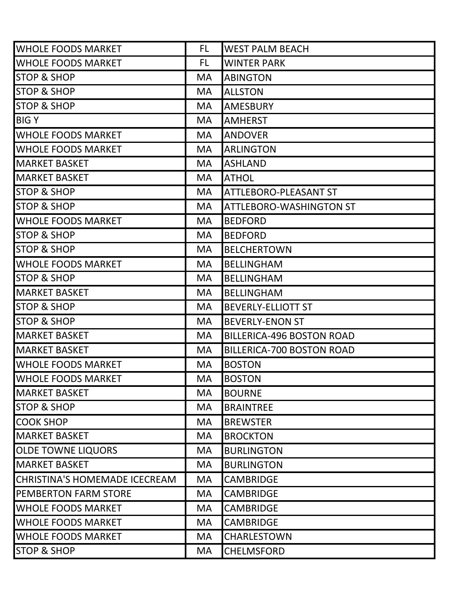| <b>WHOLE FOODS MARKET</b>     | FL.       | <b>WEST PALM BEACH</b>           |
|-------------------------------|-----------|----------------------------------|
| <b>WHOLE FOODS MARKET</b>     | FL.       | <b>WINTER PARK</b>               |
| <b>STOP &amp; SHOP</b>        | <b>MA</b> | <b>ABINGTON</b>                  |
| <b>STOP &amp; SHOP</b>        | <b>MA</b> | <b>ALLSTON</b>                   |
| <b>STOP &amp; SHOP</b>        | <b>MA</b> | <b>AMESBURY</b>                  |
| <b>BIGY</b>                   | MA.       | <b>AMHERST</b>                   |
| <b>WHOLE FOODS MARKET</b>     | <b>MA</b> | <b>ANDOVER</b>                   |
| <b>WHOLE FOODS MARKET</b>     | <b>MA</b> | <b>ARLINGTON</b>                 |
| <b>MARKET BASKET</b>          | <b>MA</b> | <b>ASHLAND</b>                   |
| <b>MARKET BASKET</b>          | <b>MA</b> | <b>ATHOL</b>                     |
| <b>STOP &amp; SHOP</b>        | <b>MA</b> | ATTLEBORO-PLEASANT ST            |
| <b>STOP &amp; SHOP</b>        | <b>MA</b> | <b>ATTLEBORO-WASHINGTON ST</b>   |
| <b>WHOLE FOODS MARKET</b>     | <b>MA</b> | <b>BEDFORD</b>                   |
| <b>STOP &amp; SHOP</b>        | <b>MA</b> | <b>BEDFORD</b>                   |
| <b>STOP &amp; SHOP</b>        | <b>MA</b> | <b>BELCHERTOWN</b>               |
| <b>WHOLE FOODS MARKET</b>     | <b>MA</b> | <b>BELLINGHAM</b>                |
| <b>STOP &amp; SHOP</b>        | <b>MA</b> | <b>BELLINGHAM</b>                |
| <b>MARKET BASKET</b>          | <b>MA</b> | <b>BELLINGHAM</b>                |
| <b>STOP &amp; SHOP</b>        | <b>MA</b> | <b>BEVERLY-ELLIOTT ST</b>        |
| <b>STOP &amp; SHOP</b>        | <b>MA</b> | <b>BEVERLY-ENON ST</b>           |
| <b>MARKET BASKET</b>          | <b>MA</b> | <b>BILLERICA-496 BOSTON ROAD</b> |
| <b>MARKET BASKET</b>          | <b>MA</b> | <b>BILLERICA-700 BOSTON ROAD</b> |
| <b>WHOLE FOODS MARKET</b>     | <b>MA</b> | <b>BOSTON</b>                    |
| <b>WHOLE FOODS MARKET</b>     | MA        | <b>BOSTON</b>                    |
| <b>MARKET BASKET</b>          | <b>MA</b> | <b>BOURNE</b>                    |
| <b>STOP &amp; SHOP</b>        | <b>MA</b> | <b>BRAINTREE</b>                 |
| <b>COOK SHOP</b>              | <b>MA</b> | <b>BREWSTER</b>                  |
| <b>MARKET BASKET</b>          | <b>MA</b> | <b>BROCKTON</b>                  |
| <b>OLDE TOWNE LIQUORS</b>     | <b>MA</b> | <b>BURLINGTON</b>                |
| <b>MARKET BASKET</b>          | <b>MA</b> | <b>BURLINGTON</b>                |
| CHRISTINA'S HOMEMADE ICECREAM | <b>MA</b> | <b>CAMBRIDGE</b>                 |
| <b>PEMBERTON FARM STORE</b>   | <b>MA</b> | <b>CAMBRIDGE</b>                 |
| <b>WHOLE FOODS MARKET</b>     | <b>MA</b> | <b>CAMBRIDGE</b>                 |
| <b>WHOLE FOODS MARKET</b>     | <b>MA</b> | <b>CAMBRIDGE</b>                 |
| <b>WHOLE FOODS MARKET</b>     | <b>MA</b> | CHARLESTOWN                      |
| <b>STOP &amp; SHOP</b>        | MA.       | <b>CHELMSFORD</b>                |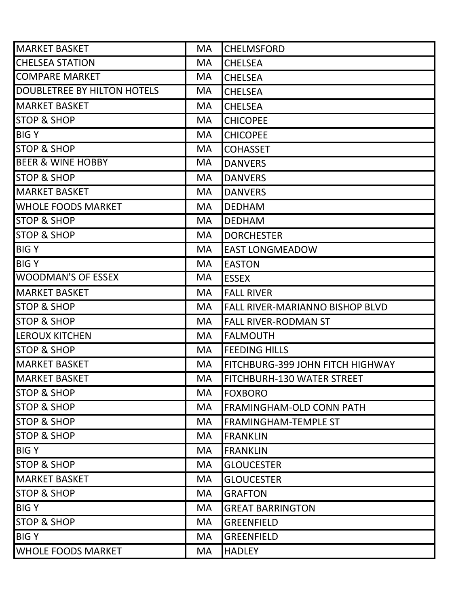| <b>MARKET BASKET</b>         | <b>MA</b> | <b>CHELMSFORD</b>                 |
|------------------------------|-----------|-----------------------------------|
| <b>CHELSEA STATION</b>       | MA        | <b>CHELSEA</b>                    |
| <b>COMPARE MARKET</b>        | MA        | <b>CHELSEA</b>                    |
| DOUBLETREE BY HILTON HOTELS  | MA        | <b>CHELSEA</b>                    |
| <b>MARKET BASKET</b>         | <b>MA</b> | <b>CHELSEA</b>                    |
| <b>STOP &amp; SHOP</b>       | <b>MA</b> | <b>CHICOPEE</b>                   |
| <b>BIGY</b>                  | <b>MA</b> | <b>CHICOPEE</b>                   |
| <b>STOP &amp; SHOP</b>       | <b>MA</b> | <b>COHASSET</b>                   |
| <b>BEER &amp; WINE HOBBY</b> | <b>MA</b> | <b>DANVERS</b>                    |
| <b>STOP &amp; SHOP</b>       | <b>MA</b> | <b>DANVERS</b>                    |
| <b>MARKET BASKET</b>         | <b>MA</b> | <b>DANVERS</b>                    |
| <b>WHOLE FOODS MARKET</b>    | <b>MA</b> | <b>DEDHAM</b>                     |
| <b>STOP &amp; SHOP</b>       | <b>MA</b> | <b>DEDHAM</b>                     |
| <b>STOP &amp; SHOP</b>       | <b>MA</b> | <b>DORCHESTER</b>                 |
| <b>BIGY</b>                  | <b>MA</b> | <b>EAST LONGMEADOW</b>            |
| <b>BIGY</b>                  | <b>MA</b> | <b>EASTON</b>                     |
| <b>WOODMAN'S OF ESSEX</b>    | <b>MA</b> | <b>ESSEX</b>                      |
| <b>MARKET BASKET</b>         | <b>MA</b> | <b>FALL RIVER</b>                 |
| <b>STOP &amp; SHOP</b>       | <b>MA</b> | FALL RIVER-MARIANNO BISHOP BLVD   |
| <b>STOP &amp; SHOP</b>       | <b>MA</b> | <b>FALL RIVER-RODMAN ST</b>       |
| <b>LEROUX KITCHEN</b>        | <b>MA</b> | <b>FALMOUTH</b>                   |
| <b>STOP &amp; SHOP</b>       | <b>MA</b> | <b>FEEDING HILLS</b>              |
| <b>MARKET BASKET</b>         | <b>MA</b> | FITCHBURG-399 JOHN FITCH HIGHWAY  |
| <b>MARKET BASKET</b>         | MA        | <b>FITCHBURH-130 WATER STREET</b> |
| <b>STOP &amp; SHOP</b>       | MA        | <b>FOXBORO</b>                    |
| <b>STOP &amp; SHOP</b>       | <b>MA</b> | <b>FRAMINGHAM-OLD CONN PATH</b>   |
| <b>STOP &amp; SHOP</b>       | <b>MA</b> | <b>FRAMINGHAM-TEMPLE ST</b>       |
| <b>STOP &amp; SHOP</b>       | <b>MA</b> | <b>FRANKLIN</b>                   |
| <b>BIGY</b>                  | <b>MA</b> | <b>FRANKLIN</b>                   |
| <b>STOP &amp; SHOP</b>       | <b>MA</b> | <b>GLOUCESTER</b>                 |
| <b>MARKET BASKET</b>         | <b>MA</b> | <b>GLOUCESTER</b>                 |
| <b>STOP &amp; SHOP</b>       | <b>MA</b> | <b>GRAFTON</b>                    |
| <b>BIGY</b>                  | <b>MA</b> | <b>GREAT BARRINGTON</b>           |
| <b>STOP &amp; SHOP</b>       | <b>MA</b> | <b>GREENFIELD</b>                 |
| <b>BIGY</b>                  | MA        | <b>GREENFIELD</b>                 |
| <b>WHOLE FOODS MARKET</b>    | <b>MA</b> | <b>HADLEY</b>                     |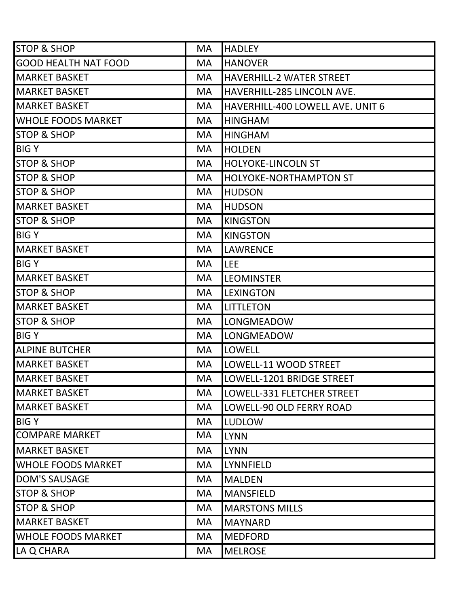| <b>STOP &amp; SHOP</b>      | <b>MA</b> | <b>HADLEY</b>                    |
|-----------------------------|-----------|----------------------------------|
| <b>GOOD HEALTH NAT FOOD</b> | MA        | <b>HANOVER</b>                   |
| <b>MARKET BASKET</b>        | <b>MA</b> | HAVERHILL-2 WATER STREET         |
| <b>MARKET BASKET</b>        | <b>MA</b> | HAVERHILL-285 LINCOLN AVE.       |
| <b>MARKET BASKET</b>        | <b>MA</b> | HAVERHILL-400 LOWELL AVE. UNIT 6 |
| <b>WHOLE FOODS MARKET</b>   | MA        | <b>HINGHAM</b>                   |
| <b>STOP &amp; SHOP</b>      | <b>MA</b> | <b>HINGHAM</b>                   |
| <b>BIGY</b>                 | <b>MA</b> | <b>HOLDEN</b>                    |
| <b>STOP &amp; SHOP</b>      | <b>MA</b> | <b>HOLYOKE-LINCOLN ST</b>        |
| <b>STOP &amp; SHOP</b>      | <b>MA</b> | <b>HOLYOKE-NORTHAMPTON ST</b>    |
| <b>STOP &amp; SHOP</b>      | <b>MA</b> | <b>HUDSON</b>                    |
| <b>MARKET BASKET</b>        | <b>MA</b> | <b>HUDSON</b>                    |
| <b>STOP &amp; SHOP</b>      | <b>MA</b> | <b>KINGSTON</b>                  |
| <b>BIGY</b>                 | <b>MA</b> | <b>KINGSTON</b>                  |
| <b>MARKET BASKET</b>        | <b>MA</b> | <b>LAWRENCE</b>                  |
| <b>BIGY</b>                 | <b>MA</b> | LEE                              |
| <b>MARKET BASKET</b>        | <b>MA</b> | <b>LEOMINSTER</b>                |
| <b>STOP &amp; SHOP</b>      | <b>MA</b> | <b>LEXINGTON</b>                 |
| <b>MARKET BASKET</b>        | MA        | <b>LITTLETON</b>                 |
| <b>STOP &amp; SHOP</b>      | <b>MA</b> | <b>LONGMEADOW</b>                |
| <b>BIGY</b>                 | <b>MA</b> | LONGMEADOW                       |
| <b>ALPINE BUTCHER</b>       | <b>MA</b> | <b>LOWELL</b>                    |
| <b>MARKET BASKET</b>        | <b>MA</b> | LOWELL-11 WOOD STREET            |
| <b>MARKET BASKET</b>        | MA        | LOWELL-1201 BRIDGE STREET        |
| <b>MARKET BASKET</b>        | <b>MA</b> | LOWELL-331 FLETCHER STREET       |
| <b>MARKET BASKET</b>        | MA        | LOWELL-90 OLD FERRY ROAD         |
| <b>BIGY</b>                 | <b>MA</b> | LUDLOW                           |
| <b>COMPARE MARKET</b>       | MA        | <b>LYNN</b>                      |
| <b>MARKET BASKET</b>        | <b>MA</b> | <b>LYNN</b>                      |
| <b>WHOLE FOODS MARKET</b>   | MA        | LYNNFIELD                        |
| <b>DOM'S SAUSAGE</b>        | <b>MA</b> | <b>MALDEN</b>                    |
| <b>STOP &amp; SHOP</b>      | <b>MA</b> | <b>MANSFIELD</b>                 |
| <b>STOP &amp; SHOP</b>      | <b>MA</b> | <b>MARSTONS MILLS</b>            |
| <b>MARKET BASKET</b>        | MA        | <b>MAYNARD</b>                   |
| <b>WHOLE FOODS MARKET</b>   | <b>MA</b> | <b>MEDFORD</b>                   |
| LA Q CHARA                  | MA        | <b>MELROSE</b>                   |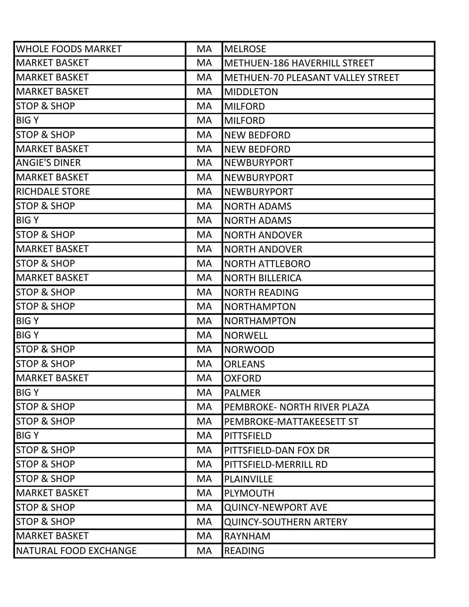| <b>WHOLE FOODS MARKET</b>    | <b>MA</b> | <b>MELROSE</b>                      |
|------------------------------|-----------|-------------------------------------|
| <b>MARKET BASKET</b>         | <b>MA</b> | <b>METHUEN-186 HAVERHILL STREET</b> |
| <b>MARKET BASKET</b>         | <b>MA</b> | METHUEN-70 PLEASANT VALLEY STREET   |
| <b>MARKET BASKET</b>         | <b>MA</b> | <b>MIDDLETON</b>                    |
| <b>STOP &amp; SHOP</b>       | <b>MA</b> | <b>MILFORD</b>                      |
| <b>BIGY</b>                  | MA.       | <b>MILFORD</b>                      |
| <b>STOP &amp; SHOP</b>       | <b>MA</b> | <b>NEW BEDFORD</b>                  |
| <b>MARKET BASKET</b>         | <b>MA</b> | <b>NEW BEDFORD</b>                  |
| <b>ANGIE'S DINER</b>         | MA.       | <b>NEWBURYPORT</b>                  |
| <b>MARKET BASKET</b>         | <b>MA</b> | <b>NEWBURYPORT</b>                  |
| <b>RICHDALE STORE</b>        | MA.       | <b>NEWBURYPORT</b>                  |
| <b>STOP &amp; SHOP</b>       | <b>MA</b> | <b>NORTH ADAMS</b>                  |
| <b>BIGY</b>                  | <b>MA</b> | <b>NORTH ADAMS</b>                  |
| <b>STOP &amp; SHOP</b>       | <b>MA</b> | <b>NORTH ANDOVER</b>                |
| <b>MARKET BASKET</b>         | <b>MA</b> | <b>NORTH ANDOVER</b>                |
| <b>STOP &amp; SHOP</b>       | <b>MA</b> | <b>NORTH ATTLEBORO</b>              |
| <b>MARKET BASKET</b>         | <b>MA</b> | <b>NORTH BILLERICA</b>              |
| <b>STOP &amp; SHOP</b>       | <b>MA</b> | <b>NORTH READING</b>                |
| <b>STOP &amp; SHOP</b>       | <b>MA</b> | <b>NORTHAMPTON</b>                  |
| <b>BIGY</b>                  | MA        | <b>NORTHAMPTON</b>                  |
| <b>BIGY</b>                  | <b>MA</b> | <b>NORWELL</b>                      |
| <b>STOP &amp; SHOP</b>       | <b>MA</b> | <b>NORWOOD</b>                      |
| <b>STOP &amp; SHOP</b>       | <b>MA</b> | <b>ORLEANS</b>                      |
| <b>MARKET BASKET</b>         | <b>MA</b> | <b>OXFORD</b>                       |
| <b>BIGY</b>                  | MA        | <b>PALMER</b>                       |
| <b>STOP &amp; SHOP</b>       | <b>MA</b> | PEMBROKE- NORTH RIVER PLAZA         |
| <b>STOP &amp; SHOP</b>       | <b>MA</b> | PEMBROKE-MATTAKEESETT ST            |
| <b>BIGY</b>                  | <b>MA</b> | <b>PITTSFIELD</b>                   |
| <b>STOP &amp; SHOP</b>       | <b>MA</b> | PITTSFIELD-DAN FOX DR               |
| <b>STOP &amp; SHOP</b>       | MA        | PITTSFIELD-MERRILL RD               |
| <b>STOP &amp; SHOP</b>       | <b>MA</b> | PLAINVILLE                          |
| <b>MARKET BASKET</b>         | MA.       | <b>PLYMOUTH</b>                     |
| <b>STOP &amp; SHOP</b>       | MA.       | <b>QUINCY-NEWPORT AVE</b>           |
| <b>STOP &amp; SHOP</b>       | <b>MA</b> | <b>QUINCY-SOUTHERN ARTERY</b>       |
| <b>MARKET BASKET</b>         | <b>MA</b> | <b>RAYNHAM</b>                      |
| <b>NATURAL FOOD EXCHANGE</b> | <b>MA</b> | <b>READING</b>                      |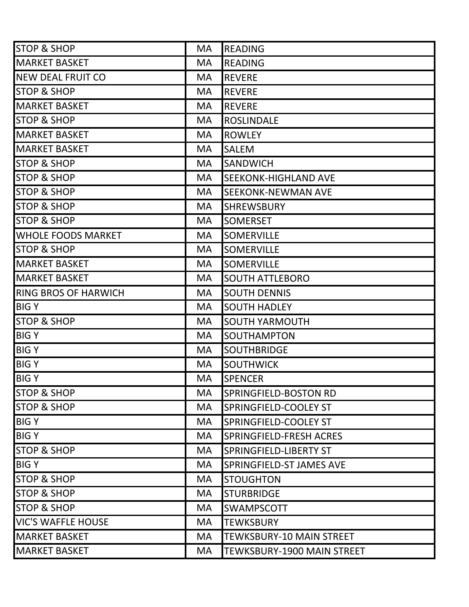| <b>STOP &amp; SHOP</b>      | MA        | <b>READING</b>                    |
|-----------------------------|-----------|-----------------------------------|
| <b>MARKET BASKET</b>        | <b>MA</b> | <b>READING</b>                    |
| <b>NEW DEAL FRUIT CO</b>    | <b>MA</b> | <b>REVERE</b>                     |
| <b>STOP &amp; SHOP</b>      | <b>MA</b> | <b>REVERE</b>                     |
| <b>MARKET BASKET</b>        | <b>MA</b> | <b>REVERE</b>                     |
| <b>STOP &amp; SHOP</b>      | MA        | <b>ROSLINDALE</b>                 |
| <b>MARKET BASKET</b>        | <b>MA</b> | <b>ROWLEY</b>                     |
| <b>MARKET BASKET</b>        | <b>MA</b> | <b>SALEM</b>                      |
| <b>STOP &amp; SHOP</b>      | MA        | <b>SANDWICH</b>                   |
| <b>STOP &amp; SHOP</b>      | <b>MA</b> | <b>SEEKONK-HIGHLAND AVE</b>       |
| <b>STOP &amp; SHOP</b>      | <b>MA</b> | <b>SEEKONK-NEWMAN AVE</b>         |
| <b>STOP &amp; SHOP</b>      | <b>MA</b> | <b>SHREWSBURY</b>                 |
| <b>STOP &amp; SHOP</b>      | <b>MA</b> | <b>SOMERSET</b>                   |
| <b>WHOLE FOODS MARKET</b>   | <b>MA</b> | <b>SOMERVILLE</b>                 |
| <b>STOP &amp; SHOP</b>      | <b>MA</b> | <b>SOMERVILLE</b>                 |
| <b>MARKET BASKET</b>        | <b>MA</b> | <b>SOMERVILLE</b>                 |
| <b>MARKET BASKET</b>        | <b>MA</b> | <b>SOUTH ATTLEBORO</b>            |
| <b>RING BROS OF HARWICH</b> | <b>MA</b> | <b>SOUTH DENNIS</b>               |
| <b>BIGY</b>                 | MA        | <b>SOUTH HADLEY</b>               |
| <b>STOP &amp; SHOP</b>      | MA        | <b>SOUTH YARMOUTH</b>             |
| <b>BIGY</b>                 | <b>MA</b> | SOUTHAMPTON                       |
| <b>BIGY</b>                 | MA        | <b>SOUTHBRIDGE</b>                |
| <b>BIGY</b>                 | <b>MA</b> | <b>SOUTHWICK</b>                  |
| <b>BIGY</b>                 | MA        | <b>SPENCER</b>                    |
| <b>STOP &amp; SHOP</b>      | <b>MA</b> | SPRINGFIELD-BOSTON RD             |
| <b>STOP &amp; SHOP</b>      | MA        | SPRINGFIELD-COOLEY ST             |
| <b>BIGY</b>                 | <b>MA</b> | SPRINGFIELD-COOLEY ST             |
| <b>BIGY</b>                 | <b>MA</b> | SPRINGFIELD-FRESH ACRES           |
| <b>STOP &amp; SHOP</b>      | <b>MA</b> | SPRINGFIELD-LIBERTY ST            |
| <b>BIGY</b>                 | <b>MA</b> | SPRINGFIELD-ST JAMES AVE          |
| <b>STOP &amp; SHOP</b>      | <b>MA</b> | <b>STOUGHTON</b>                  |
| <b>STOP &amp; SHOP</b>      | <b>MA</b> | <b>STURBRIDGE</b>                 |
| <b>STOP &amp; SHOP</b>      | <b>MA</b> | <b>SWAMPSCOTT</b>                 |
| <b>VIC'S WAFFLE HOUSE</b>   | MA        | <b>TEWKSBURY</b>                  |
| <b>MARKET BASKET</b>        | MA        | <b>TEWKSBURY-10 MAIN STREET</b>   |
| <b>MARKET BASKET</b>        | <b>MA</b> | <b>TEWKSBURY-1900 MAIN STREET</b> |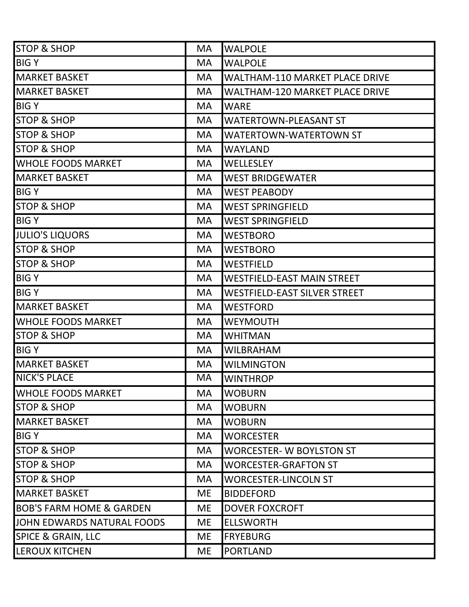| <b>STOP &amp; SHOP</b>              | MA        | <b>WALPOLE</b>                        |
|-------------------------------------|-----------|---------------------------------------|
| <b>BIGY</b>                         | MA        | <b>WALPOLE</b>                        |
| <b>MARKET BASKET</b>                | <b>MA</b> | <b>WALTHAM-110 MARKET PLACE DRIVE</b> |
| <b>MARKET BASKET</b>                | <b>MA</b> | <b>WALTHAM-120 MARKET PLACE DRIVE</b> |
| <b>BIGY</b>                         | <b>MA</b> | <b>WARE</b>                           |
| <b>STOP &amp; SHOP</b>              | <b>MA</b> | <b>WATERTOWN-PLEASANT ST</b>          |
| <b>STOP &amp; SHOP</b>              | <b>MA</b> | <b>WATERTOWN-WATERTOWN ST</b>         |
| <b>STOP &amp; SHOP</b>              | <b>MA</b> | <b>WAYLAND</b>                        |
| <b>WHOLE FOODS MARKET</b>           | <b>MA</b> | <b>WELLESLEY</b>                      |
| <b>MARKET BASKET</b>                | <b>MA</b> | <b>WEST BRIDGEWATER</b>               |
| <b>BIGY</b>                         | <b>MA</b> | <b>WEST PEABODY</b>                   |
| <b>STOP &amp; SHOP</b>              | <b>MA</b> | <b>WEST SPRINGFIELD</b>               |
| <b>BIGY</b>                         | <b>MA</b> | <b>WEST SPRINGFIELD</b>               |
| <b>JULIO'S LIQUORS</b>              | MA.       | <b>WESTBORO</b>                       |
| <b>STOP &amp; SHOP</b>              | <b>MA</b> | <b>WESTBORO</b>                       |
| <b>STOP &amp; SHOP</b>              | <b>MA</b> | <b>WESTFIELD</b>                      |
| <b>BIGY</b>                         | <b>MA</b> | <b>WESTFIELD-EAST MAIN STREET</b>     |
| <b>BIGY</b>                         | <b>MA</b> | <b>WESTFIELD-EAST SILVER STREET</b>   |
| <b>MARKET BASKET</b>                | <b>MA</b> | <b>WESTFORD</b>                       |
| <b>WHOLE FOODS MARKET</b>           | <b>MA</b> | <b>WEYMOUTH</b>                       |
| <b>STOP &amp; SHOP</b>              | <b>MA</b> | <b>WHITMAN</b>                        |
| <b>BIGY</b>                         | <b>MA</b> | <b>WILBRAHAM</b>                      |
| <b>MARKET BASKET</b>                | <b>MA</b> | <b>WILMINGTON</b>                     |
| <b>NICK'S PLACE</b>                 | MA        | <b>WINTHROP</b>                       |
| <b>WHOLE FOODS MARKET</b>           | MA        | <b>WOBURN</b>                         |
| <b>STOP &amp; SHOP</b>              | MA        | <b>WOBURN</b>                         |
| <b>MARKET BASKET</b>                | MA        | <b>WOBURN</b>                         |
| <b>BIGY</b>                         | <b>MA</b> | <b>WORCESTER</b>                      |
| <b>STOP &amp; SHOP</b>              | <b>MA</b> | <b>WORCESTER- W BOYLSTON ST</b>       |
| <b>STOP &amp; SHOP</b>              | MA        | <b>WORCESTER-GRAFTON ST</b>           |
| <b>STOP &amp; SHOP</b>              | <b>MA</b> | <b>WORCESTER-LINCOLN ST</b>           |
| <b>MARKET BASKET</b>                | <b>ME</b> | <b>BIDDEFORD</b>                      |
| <b>BOB'S FARM HOME &amp; GARDEN</b> | ME        | <b>DOVER FOXCROFT</b>                 |
| JOHN EDWARDS NATURAL FOODS          | <b>ME</b> | <b>ELLSWORTH</b>                      |
| <b>SPICE &amp; GRAIN, LLC</b>       | <b>ME</b> | <b>FRYEBURG</b>                       |
| <b>LEROUX KITCHEN</b>               | <b>ME</b> | <b>PORTLAND</b>                       |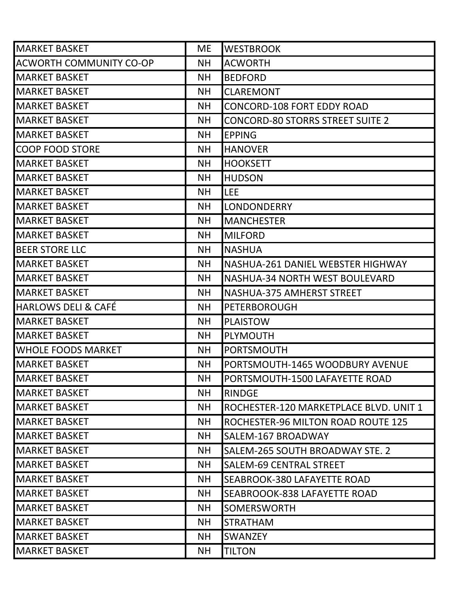| <b>MARKET BASKET</b>           | <b>ME</b> | <b>WESTBROOK</b>                        |
|--------------------------------|-----------|-----------------------------------------|
| <b>ACWORTH COMMUNITY CO-OP</b> | <b>NH</b> | <b>ACWORTH</b>                          |
| <b>MARKET BASKET</b>           | <b>NH</b> | <b>BEDFORD</b>                          |
| <b>MARKET BASKET</b>           | <b>NH</b> | <b>CLAREMONT</b>                        |
| <b>MARKET BASKET</b>           | <b>NH</b> | <b>CONCORD-108 FORT EDDY ROAD</b>       |
| <b>MARKET BASKET</b>           | <b>NH</b> | <b>CONCORD-80 STORRS STREET SUITE 2</b> |
| <b>MARKET BASKET</b>           | <b>NH</b> | <b>EPPING</b>                           |
| <b>COOP FOOD STORE</b>         | <b>NH</b> | <b>HANOVER</b>                          |
| <b>MARKET BASKET</b>           | <b>NH</b> | <b>HOOKSETT</b>                         |
| <b>MARKET BASKET</b>           | <b>NH</b> | <b>HUDSON</b>                           |
| <b>MARKET BASKET</b>           | <b>NH</b> | <b>LEE</b>                              |
| <b>MARKET BASKET</b>           | <b>NH</b> | <b>LONDONDERRY</b>                      |
| <b>MARKET BASKET</b>           | <b>NH</b> | <b>MANCHESTER</b>                       |
| <b>MARKET BASKET</b>           | <b>NH</b> | <b>MILFORD</b>                          |
| <b>BEER STORE LLC</b>          | <b>NH</b> | <b>NASHUA</b>                           |
| <b>MARKET BASKET</b>           | <b>NH</b> | NASHUA-261 DANIEL WEBSTER HIGHWAY       |
| <b>MARKET BASKET</b>           | <b>NH</b> | NASHUA-34 NORTH WEST BOULEVARD          |
| <b>MARKET BASKET</b>           | <b>NH</b> | NASHUA-375 AMHERST STREET               |
| <b>HARLOWS DELI &amp; CAFÉ</b> | <b>NH</b> | <b>PETERBOROUGH</b>                     |
| <b>MARKET BASKET</b>           | <b>NH</b> | <b>PLAISTOW</b>                         |
| <b>MARKET BASKET</b>           | <b>NH</b> | <b>PLYMOUTH</b>                         |
| <b>WHOLE FOODS MARKET</b>      | <b>NH</b> | <b>PORTSMOUTH</b>                       |
| <b>MARKET BASKET</b>           | <b>NH</b> | PORTSMOUTH-1465 WOODBURY AVENUE         |
| <b>MARKET BASKET</b>           | <b>NH</b> | PORTSMOUTH-1500 LAFAYETTE ROAD          |
| <b>MARKET BASKET</b>           | <b>NH</b> | RINDGE                                  |
| <b>MARKET BASKET</b>           | <b>NH</b> | ROCHESTER-120 MARKETPLACE BLVD. UNIT 1  |
| <b>MARKET BASKET</b>           | <b>NH</b> | ROCHESTER-96 MILTON ROAD ROUTE 125      |
| <b>MARKET BASKET</b>           | <b>NH</b> | SALEM-167 BROADWAY                      |
| <b>MARKET BASKET</b>           | <b>NH</b> | SALEM-265 SOUTH BROADWAY STE. 2         |
| <b>MARKET BASKET</b>           | <b>NH</b> | <b>SALEM-69 CENTRAL STREET</b>          |
| MARKET BASKET                  | <b>NH</b> | SEABROOK-380 LAFAYETTE ROAD             |
| IMARKET BASKET                 | <b>NH</b> | SEABROOOK-838 LAFAYETTE ROAD            |
| <b>MARKET BASKET</b>           | <b>NH</b> | <b>SOMERSWORTH</b>                      |
| <b>MARKET BASKET</b>           | <b>NH</b> | <b>STRATHAM</b>                         |
| <b>MARKET BASKET</b>           | ΝH        | <b>SWANZEY</b>                          |
| <b>MARKET BASKET</b>           | <b>NH</b> | <b>TILTON</b>                           |